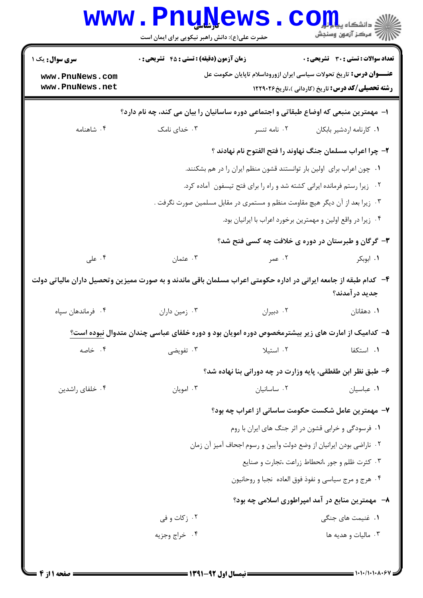| زمان آزمون (دقیقه) : تستی : 45 آتشریحی : 0<br><b>تعداد سوالات : تستی : 30 ٪ تشریحی : 0</b><br><b>سری سوال :</b> یک ۱<br><b>عنــــوان درس:</b> تاریخ تحولات سیاسی ایران ازوروداسلام تاپایان حکومت عل<br>www.PnuNews.com<br>www.PnuNews.net<br><b>رشته تحصیلی/کد درس:</b> تاریخ (کاردانی )،تاریخ۲۲۹۰۲۶ <b>۱۲۲۹</b> ۰۲۶<br>ا– مهمترین منبعی که اوضاع طبقاتی و اجتماعی دوره ساسانیان را بیان می کند، چه نام دارد؟<br>۰۳ خدای نامک<br>۰۴ شاهنامه<br>۰۲ نامه تنسر<br>٠١ كارنامه اردشير بابكان<br>۲– چرا اعراب مسلمان جنگ نهاوند را فتح الفتوح نام نهادند ؟<br>۰۱ چون اعراب برای اولین بار توانستند قشون منظم ایران را در هم بشکنند.<br>۰۲ زیرا رستم فرمانده ایرانی کشته شد و راه را برای فتح تیسفون آماده کرد.<br>۰۳ زیرا بعد از آن دیگر هیچ مقاومت منظم و مستمری در مقابل مسلمین صورت نگرفت .<br>۰۴ زیرا در واقع اولین و مهمترین برخورد اعراب با ایرانیان بود.<br>۳- گرگان و طبرستان در دوره ی خلافت چه کسی فتح شد؟<br>۰۴ علی<br>۰۳ عثمان<br>۰۲ عمر<br>۰۱ ابوبکر<br>۴– کدام طبقه از جامعه ایرانی در اداره حکومتی اعراب مسلمان باقی ماندند و به صورت ممیزین وتحصیل داران مالیاتی دولت<br>جديد در آمدند؟<br>۰۳ زمین داران<br>٠٢ دبيران<br>۰۴ فرماندهان سپاه<br>۰۱ دهقانان<br><mark>۵</mark> – کدامیک از امارت های زیر بیشترمخصوص دوره امویان بود و دوره خلفای عباسی چندان متدوال <u>نبوده است؟</u><br>٠١. استكفا<br>۰۴ خاصه<br>۰۳ تفویضی<br>۰۲ استیلا<br>۶- طبق نظر ابن طقطقی، پایه وزارت در چه دورانی بنا نهاده شد؟<br>۰۴ خلفای راشدین<br>۰۳ امویان<br>٠٢ ساسانيان<br>۰۱ عباسیان<br>۷– مهمترین عامل شکست حکومت ساسانی از اعراب چه بود؟<br>۰۱ فرسودگی و خرابی قشون در اثر جنگ های ایران با روم<br>۰۲ ناراضی بودن ایرانیان از وضع دولت وآیین و رسوم اجحاف آمیز آن زمان<br>۰۳ کثرت ظلم و جور ،انحطاط زراعت ،تجارت و صنايع<br>۰۴ هرج و مرج سياسي و نفوذ فوق العاده  نجبا و روحانيون $\cdot$<br>٨−۔ مهمترین منابع در آمد امپراطوری اسلامی چه بود؟<br>۰۲ زکات و في<br>۰۱ غنیمت های جنگی<br>۰۴ خراج وجزيه<br>۰۳ ماليات و هديه ها | <b>WWW</b> | <b>LIIñî/G</b><br>حضرت علی(ع): دانش راهبر نیکویی برای ایمان است |  | د دانشگاه پ <mark>یا ب</mark> ا ن <mark>ور</mark><br>رِ آمرڪز آزمون وسنڊش |  |  |  |
|---------------------------------------------------------------------------------------------------------------------------------------------------------------------------------------------------------------------------------------------------------------------------------------------------------------------------------------------------------------------------------------------------------------------------------------------------------------------------------------------------------------------------------------------------------------------------------------------------------------------------------------------------------------------------------------------------------------------------------------------------------------------------------------------------------------------------------------------------------------------------------------------------------------------------------------------------------------------------------------------------------------------------------------------------------------------------------------------------------------------------------------------------------------------------------------------------------------------------------------------------------------------------------------------------------------------------------------------------------------------------------------------------------------------------------------------------------------------------------------------------------------------------------------------------------------------------------------------------------------------------------------------------------------------------------------------------------------------------------------------------------------------------------------------------------------------------------------------------------------------------------------------------------------------|------------|-----------------------------------------------------------------|--|---------------------------------------------------------------------------|--|--|--|
|                                                                                                                                                                                                                                                                                                                                                                                                                                                                                                                                                                                                                                                                                                                                                                                                                                                                                                                                                                                                                                                                                                                                                                                                                                                                                                                                                                                                                                                                                                                                                                                                                                                                                                                                                                                                                                                                                                                     |            |                                                                 |  |                                                                           |  |  |  |
|                                                                                                                                                                                                                                                                                                                                                                                                                                                                                                                                                                                                                                                                                                                                                                                                                                                                                                                                                                                                                                                                                                                                                                                                                                                                                                                                                                                                                                                                                                                                                                                                                                                                                                                                                                                                                                                                                                                     |            |                                                                 |  |                                                                           |  |  |  |
|                                                                                                                                                                                                                                                                                                                                                                                                                                                                                                                                                                                                                                                                                                                                                                                                                                                                                                                                                                                                                                                                                                                                                                                                                                                                                                                                                                                                                                                                                                                                                                                                                                                                                                                                                                                                                                                                                                                     |            |                                                                 |  |                                                                           |  |  |  |
|                                                                                                                                                                                                                                                                                                                                                                                                                                                                                                                                                                                                                                                                                                                                                                                                                                                                                                                                                                                                                                                                                                                                                                                                                                                                                                                                                                                                                                                                                                                                                                                                                                                                                                                                                                                                                                                                                                                     |            |                                                                 |  |                                                                           |  |  |  |
|                                                                                                                                                                                                                                                                                                                                                                                                                                                                                                                                                                                                                                                                                                                                                                                                                                                                                                                                                                                                                                                                                                                                                                                                                                                                                                                                                                                                                                                                                                                                                                                                                                                                                                                                                                                                                                                                                                                     |            |                                                                 |  |                                                                           |  |  |  |
|                                                                                                                                                                                                                                                                                                                                                                                                                                                                                                                                                                                                                                                                                                                                                                                                                                                                                                                                                                                                                                                                                                                                                                                                                                                                                                                                                                                                                                                                                                                                                                                                                                                                                                                                                                                                                                                                                                                     |            |                                                                 |  |                                                                           |  |  |  |
|                                                                                                                                                                                                                                                                                                                                                                                                                                                                                                                                                                                                                                                                                                                                                                                                                                                                                                                                                                                                                                                                                                                                                                                                                                                                                                                                                                                                                                                                                                                                                                                                                                                                                                                                                                                                                                                                                                                     |            |                                                                 |  |                                                                           |  |  |  |
|                                                                                                                                                                                                                                                                                                                                                                                                                                                                                                                                                                                                                                                                                                                                                                                                                                                                                                                                                                                                                                                                                                                                                                                                                                                                                                                                                                                                                                                                                                                                                                                                                                                                                                                                                                                                                                                                                                                     |            |                                                                 |  |                                                                           |  |  |  |
|                                                                                                                                                                                                                                                                                                                                                                                                                                                                                                                                                                                                                                                                                                                                                                                                                                                                                                                                                                                                                                                                                                                                                                                                                                                                                                                                                                                                                                                                                                                                                                                                                                                                                                                                                                                                                                                                                                                     |            |                                                                 |  |                                                                           |  |  |  |
|                                                                                                                                                                                                                                                                                                                                                                                                                                                                                                                                                                                                                                                                                                                                                                                                                                                                                                                                                                                                                                                                                                                                                                                                                                                                                                                                                                                                                                                                                                                                                                                                                                                                                                                                                                                                                                                                                                                     |            |                                                                 |  |                                                                           |  |  |  |
|                                                                                                                                                                                                                                                                                                                                                                                                                                                                                                                                                                                                                                                                                                                                                                                                                                                                                                                                                                                                                                                                                                                                                                                                                                                                                                                                                                                                                                                                                                                                                                                                                                                                                                                                                                                                                                                                                                                     |            |                                                                 |  |                                                                           |  |  |  |
|                                                                                                                                                                                                                                                                                                                                                                                                                                                                                                                                                                                                                                                                                                                                                                                                                                                                                                                                                                                                                                                                                                                                                                                                                                                                                                                                                                                                                                                                                                                                                                                                                                                                                                                                                                                                                                                                                                                     |            |                                                                 |  |                                                                           |  |  |  |
|                                                                                                                                                                                                                                                                                                                                                                                                                                                                                                                                                                                                                                                                                                                                                                                                                                                                                                                                                                                                                                                                                                                                                                                                                                                                                                                                                                                                                                                                                                                                                                                                                                                                                                                                                                                                                                                                                                                     |            |                                                                 |  |                                                                           |  |  |  |
|                                                                                                                                                                                                                                                                                                                                                                                                                                                                                                                                                                                                                                                                                                                                                                                                                                                                                                                                                                                                                                                                                                                                                                                                                                                                                                                                                                                                                                                                                                                                                                                                                                                                                                                                                                                                                                                                                                                     |            |                                                                 |  |                                                                           |  |  |  |
|                                                                                                                                                                                                                                                                                                                                                                                                                                                                                                                                                                                                                                                                                                                                                                                                                                                                                                                                                                                                                                                                                                                                                                                                                                                                                                                                                                                                                                                                                                                                                                                                                                                                                                                                                                                                                                                                                                                     |            |                                                                 |  |                                                                           |  |  |  |
|                                                                                                                                                                                                                                                                                                                                                                                                                                                                                                                                                                                                                                                                                                                                                                                                                                                                                                                                                                                                                                                                                                                                                                                                                                                                                                                                                                                                                                                                                                                                                                                                                                                                                                                                                                                                                                                                                                                     |            |                                                                 |  |                                                                           |  |  |  |
|                                                                                                                                                                                                                                                                                                                                                                                                                                                                                                                                                                                                                                                                                                                                                                                                                                                                                                                                                                                                                                                                                                                                                                                                                                                                                                                                                                                                                                                                                                                                                                                                                                                                                                                                                                                                                                                                                                                     |            |                                                                 |  |                                                                           |  |  |  |
|                                                                                                                                                                                                                                                                                                                                                                                                                                                                                                                                                                                                                                                                                                                                                                                                                                                                                                                                                                                                                                                                                                                                                                                                                                                                                                                                                                                                                                                                                                                                                                                                                                                                                                                                                                                                                                                                                                                     |            |                                                                 |  |                                                                           |  |  |  |
|                                                                                                                                                                                                                                                                                                                                                                                                                                                                                                                                                                                                                                                                                                                                                                                                                                                                                                                                                                                                                                                                                                                                                                                                                                                                                                                                                                                                                                                                                                                                                                                                                                                                                                                                                                                                                                                                                                                     |            |                                                                 |  |                                                                           |  |  |  |
|                                                                                                                                                                                                                                                                                                                                                                                                                                                                                                                                                                                                                                                                                                                                                                                                                                                                                                                                                                                                                                                                                                                                                                                                                                                                                                                                                                                                                                                                                                                                                                                                                                                                                                                                                                                                                                                                                                                     |            |                                                                 |  |                                                                           |  |  |  |
|                                                                                                                                                                                                                                                                                                                                                                                                                                                                                                                                                                                                                                                                                                                                                                                                                                                                                                                                                                                                                                                                                                                                                                                                                                                                                                                                                                                                                                                                                                                                                                                                                                                                                                                                                                                                                                                                                                                     |            |                                                                 |  |                                                                           |  |  |  |
|                                                                                                                                                                                                                                                                                                                                                                                                                                                                                                                                                                                                                                                                                                                                                                                                                                                                                                                                                                                                                                                                                                                                                                                                                                                                                                                                                                                                                                                                                                                                                                                                                                                                                                                                                                                                                                                                                                                     |            |                                                                 |  |                                                                           |  |  |  |
|                                                                                                                                                                                                                                                                                                                                                                                                                                                                                                                                                                                                                                                                                                                                                                                                                                                                                                                                                                                                                                                                                                                                                                                                                                                                                                                                                                                                                                                                                                                                                                                                                                                                                                                                                                                                                                                                                                                     |            |                                                                 |  |                                                                           |  |  |  |
|                                                                                                                                                                                                                                                                                                                                                                                                                                                                                                                                                                                                                                                                                                                                                                                                                                                                                                                                                                                                                                                                                                                                                                                                                                                                                                                                                                                                                                                                                                                                                                                                                                                                                                                                                                                                                                                                                                                     |            |                                                                 |  |                                                                           |  |  |  |
|                                                                                                                                                                                                                                                                                                                                                                                                                                                                                                                                                                                                                                                                                                                                                                                                                                                                                                                                                                                                                                                                                                                                                                                                                                                                                                                                                                                                                                                                                                                                                                                                                                                                                                                                                                                                                                                                                                                     |            |                                                                 |  |                                                                           |  |  |  |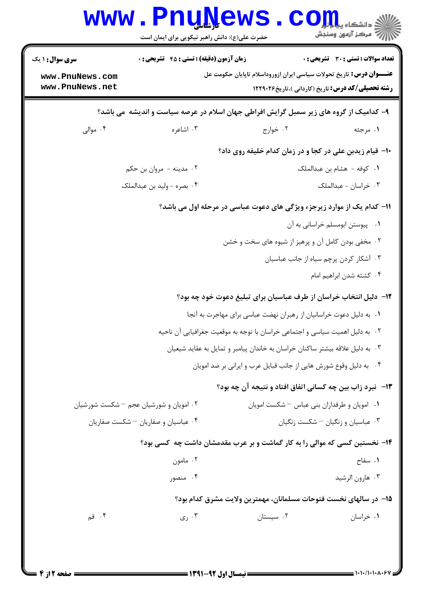| <b>سری سوال : ۱ یک</b>             | <b>زمان آزمون (دقیقه) : تستی : 45 گشریحی : 0</b>                                        |                                                                    | <b>تعداد سوالات : تستی : 30 ٪ تشریحی : 0</b>                                                                                                          |
|------------------------------------|-----------------------------------------------------------------------------------------|--------------------------------------------------------------------|-------------------------------------------------------------------------------------------------------------------------------------------------------|
| www.PnuNews.com<br>www.PnuNews.net |                                                                                         |                                                                    | <b>عنـــوان درس:</b> تاریخ تحولات سیاسی ایران ازوروداسلام تاپایان حکومت عل<br><b>رشته تحصیلی/کد درس:</b> تاریخ (کاردانی )،تاریخ۲۲۹۰۲۶ <b>۱۲۲۹</b> ۰۲۶ |
|                                    | ۹- کدامیک از گروه های زیر سمبل گرایش افراطی جهان اسلام در عرصه سیاست و اندیشه ًمی باشد؟ |                                                                    |                                                                                                                                                       |
| ۰۴ موالي                           | ۰۳ اشاعره                                                                               | ۰۲ خوارج                                                           | ۰۱ مرجئه                                                                                                                                              |
|                                    |                                                                                         |                                                                    | ∙۱- قیام زیدبن علی در کجا و در زمان کدام خلیفه روی داد؟                                                                                               |
|                                    | ۰۲ مدينه - مروان بن حکم                                                                 |                                                                    | ١. كوفه - هشام بن عبدالملك                                                                                                                            |
|                                    | ۰۴ بصره - وليد بن عبدالملک                                                              |                                                                    | ۰۳ خراسان - عبدالملک                                                                                                                                  |
|                                    | 11- کدام یک از موارد زیرجزء ویژگی های دعوت عباسی در مرحله اول می باشد؟                  |                                                                    |                                                                                                                                                       |
|                                    |                                                                                         |                                                                    | ٠١ پيوستن ابومسلم خراساني به آن                                                                                                                       |
|                                    |                                                                                         | ۰۲ مخفی بودن کامل آن و پرهیز از شیوه های سخت و خشن                 |                                                                                                                                                       |
|                                    |                                                                                         |                                                                    | ۰۳ آشکار کردن پرچم سیاه از جانب عباسیان                                                                                                               |
|                                    |                                                                                         |                                                                    | ۰۴ کشته شدن ابراهیم امام                                                                                                                              |
|                                    |                                                                                         |                                                                    | ۱۲- دلیل انتخاب خراسان از طرف عباسیان برای تبلیغ دعوت خود چه بود؟                                                                                     |
|                                    |                                                                                         | ٠. به دليل دعوت خراسانيان از رهبران نهضت عباسي براي مهاجرت به آنجا |                                                                                                                                                       |
|                                    | ٢. به دليل اهميت سياسي و اجتماعي خراسان با توجه به موقعيت جغرافيايي آن ناحيه            |                                                                    |                                                                                                                                                       |
|                                    | ۰۳ به دلیل علاقه بیشتر ساکنان خراسان به خاندان پیامبر و تمایل به عقاید شیعیان           |                                                                    |                                                                                                                                                       |
|                                    |                                                                                         | ۰۴ به دلیل وقوع شورش هایی از جانب قبایل عرب و ایرانی بر ضد امویان  |                                                                                                                                                       |
|                                    |                                                                                         |                                                                    | ۱۳- نبرد زاب بین چه کسانی اتفاق افتاد و نتیجه آن چه بود؟                                                                                              |
|                                    | ۰۲ امویان و شورشیان عجم – شکست شورشیان                                                  | ٠١ امويان وطرفداران بنى عباس - شكست امويان                         |                                                                                                                                                       |
|                                    | ۰۴ عباسیان و صفاریان – شکست صفاریان                                                     |                                                                    | ۰۳ عباسیان و زنگیان – شکست زنگیان                                                                                                                     |
|                                    | ۱۴- نخستین کسی که موالی را به کار گماشت و بر عرب مقدمشان داشت چه کسی بود؟               |                                                                    |                                                                                                                                                       |
|                                    | ۰۲ مامون                                                                                |                                                                    | ٠١. سفاح                                                                                                                                              |
|                                    | ۰۴ منصور                                                                                |                                                                    | ۰۳ هارون الرشيد                                                                                                                                       |
|                                    |                                                                                         |                                                                    | 1۵– در سالهای نخست فتوحات مسلمانان، مهمترین ولایت مشرق کدام بود؟                                                                                      |
| ۰۴ قم                              | ۰۳ ری $\cdot$                                                                           | ۰۲ سیستان                                                          | ۰۱ خراسان                                                                                                                                             |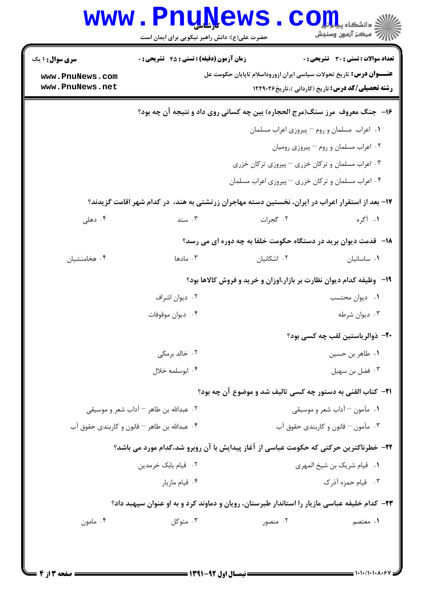| سری سوال : ۱ یک     | <b>زمان آزمون (دقیقه) : تستی : 45 قشریحی : 0</b> |                                                                                                   | <b>تعداد سوالات : تستی : 30 ٪ تشریحی : 0</b>             |  |  |
|---------------------|--------------------------------------------------|---------------------------------------------------------------------------------------------------|----------------------------------------------------------|--|--|
| www.PnuNews.com     |                                                  | <b>عنــــوان درس:</b> تاریخ تحولات سیاسی ایران ازوروداسلام تاپایان حکومت عل                       |                                                          |  |  |
| www.PnuNews.net     |                                                  |                                                                                                   | <b>رشته تحصیلی/کد درس:</b> تاریخ (کاردانی )،تاریخ۲۶۰۲۶ ۲ |  |  |
|                     |                                                  | ۱۶– جنگ معروف مرز سنگ(مرج الحجاره) بین چه کسانی روی داد و نتیجه آن چه بود؟                        |                                                          |  |  |
|                     |                                                  | ٠١ اعراب مسلمان و روم - پيروزي اعراب مسلمان                                                       |                                                          |  |  |
|                     | ۰۲ اعراب مسلمان و روم - پیروزی رومیان            |                                                                                                   |                                                          |  |  |
|                     | ۰۳ اعراب مسلمان و ترکان خزری – پیروزی ترکان خزری |                                                                                                   |                                                          |  |  |
|                     |                                                  | ۰۴ اعراب مسلمان و ترکان خزری – پیروزی اعراب مسلمان                                                |                                                          |  |  |
|                     |                                                  | ۱۷– بعد از استقرار اعراب در ایران، نخستین دسته مهاجران زرتشتی به هند، ً در کدام شهر اقامت گزیدند؟ |                                                          |  |  |
| ۰۴ دهلی             | $\cdots$ سند                                     | ۰۲ گجرات                                                                                          | ۱. آگره                                                  |  |  |
|                     |                                                  | <b>۱۸</b> - قدمت دیوان برید در دستگاه حکومت خلفا به چه دوره ای می رسد؟                            |                                                          |  |  |
| ۰۴ هخامنشیان        | ۰۳ مادها                                         | ۰۲ اشکانیان                                                                                       | ٠١ ساسانيان                                              |  |  |
|                     |                                                  | ۱۹- وظیفه کدام دیوان نظارت بر بازار،اوزان و خرید و فروش کالاها بود؟                               |                                                          |  |  |
|                     | ۰۲ دیوان اشراف                                   |                                                                                                   | ٠١ ديوان محتسب                                           |  |  |
|                     | ۰۴ ديوان موقوفات                                 |                                                                                                   | ۰۳ ديوان شرطه                                            |  |  |
|                     |                                                  |                                                                                                   | <b>۲۰</b> - ذوالریاستین لقب چه کسی بود؟                  |  |  |
|                     | ۰۲ خالد برمکی                                    |                                                                                                   | ٠١. طاهر بن حسين                                         |  |  |
|                     | ۰۴ ابوسلمه خلال                                  |                                                                                                   | ۰۳ فضل بن سهيل                                           |  |  |
|                     |                                                  | <b>٢١</b> - كتاب القني به دستور چه كسي تاليف شد و موضوع آن چه بود؟                                |                                                          |  |  |
|                     | ٢. عبدالله بن طاهر – آداب شعر و موسيقى           | ۰۱ مآمون – آداب شعر و موسیقی                                                                      |                                                          |  |  |
|                     | ۰۴ عبدالله بن طاهر – قانون و کاربندی حقوق آب     |                                                                                                   | ۰۳ مآمون – قانون و کاربندی حقوق آب                       |  |  |
|                     |                                                  | ۲۲– خطرناکترین حرکتی که حکومت عباسی از آغاز پیدایش با آن روبرو شد،کدام مورد می باشد؟              |                                                          |  |  |
| ۰۲ قیام بابک خرمدین |                                                  | ٠١ قيام شريک بن شيخ المهري                                                                        |                                                          |  |  |
|                     | ۰۴ قیام مازیار                                   |                                                                                                   | ۰۳ قیام حمزه آذرک                                        |  |  |
|                     |                                                  | ۲۳– کدام خلیفه عباسی مازیار را استاندار طبرستان، رویان و دماوند کرد و به او عنوان سپهبد داد؟      |                                                          |  |  |
| ۰۴ مامون            | ۰۳ متوکل                                         | ۰۲ منصور                                                                                          | ۰۱ معتصم                                                 |  |  |